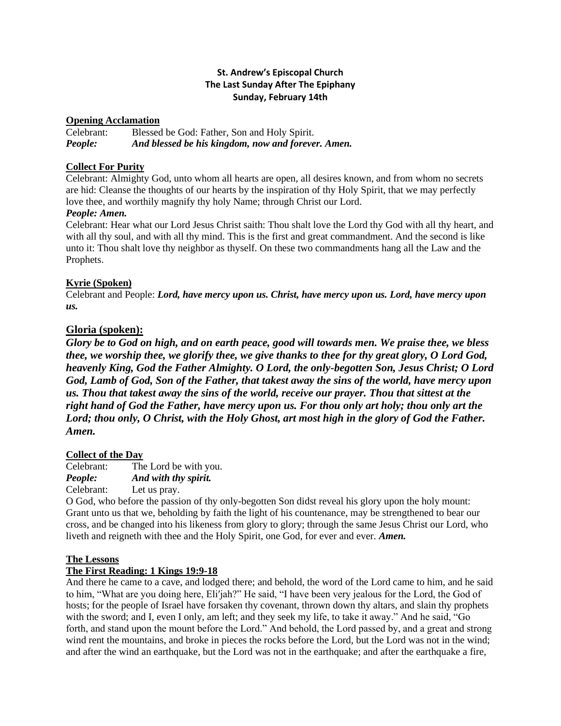# **St. Andrew's Episcopal Church The Last Sunday After The Epiphany Sunday, February 14th**

# **Opening Acclamation**

Celebrant: Blessed be God: Father, Son and Holy Spirit. *People: And blessed be his kingdom, now and forever. Amen.*

# **Collect For Purity**

Celebrant: Almighty God, unto whom all hearts are open, all desires known, and from whom no secrets are hid: Cleanse the thoughts of our hearts by the inspiration of thy Holy Spirit, that we may perfectly love thee, and worthily magnify thy holy Name; through Christ our Lord.

# *People: Amen.*

Celebrant: Hear what our Lord Jesus Christ saith: Thou shalt love the Lord thy God with all thy heart, and with all thy soul, and with all thy mind. This is the first and great commandment. And the second is like unto it: Thou shalt love thy neighbor as thyself. On these two commandments hang all the Law and the Prophets.

# **Kyrie (Spoken)**

Celebrant and People: *Lord, have mercy upon us. Christ, have mercy upon us. Lord, have mercy upon us.*

# **Gloria (spoken):**

*Glory be to God on high, and on earth peace, good will towards men. We praise thee, we bless thee, we worship thee, we glorify thee, we give thanks to thee for thy great glory, O Lord God, heavenly King, God the Father Almighty. O Lord, the only-begotten Son, Jesus Christ; O Lord God, Lamb of God, Son of the Father, that takest away the sins of the world, have mercy upon us. Thou that takest away the sins of the world, receive our prayer. Thou that sittest at the right hand of God the Father, have mercy upon us. For thou only art holy; thou only art the Lord; thou only, O Christ, with the Holy Ghost, art most high in the glory of God the Father. Amen.* 

# **Collect of the Day**

Celebrant: The Lord be with you. *People: And with thy spirit.* Celebrant: Let us pray.

O God, who before the passion of thy only-begotten Son didst reveal his glory upon the holy mount: Grant unto us that we, beholding by faith the light of his countenance, may be strengthened to bear our cross, and be changed into his likeness from glory to glory; through the same Jesus Christ our Lord, who liveth and reigneth with thee and the Holy Spirit, one God, for ever and ever. *Amen.*

# **The Lessons**

# **The First Reading: 1 Kings 19:9-18**

And there he came to a cave, and lodged there; and behold, the word of the Lord came to him, and he said to him, "What are you doing here, Eli′jah?" He said, "I have been very jealous for the Lord, the God of hosts; for the people of Israel have forsaken thy covenant, thrown down thy altars, and slain thy prophets with the sword; and I, even I only, am left; and they seek my life, to take it away." And he said, "Go forth, and stand upon the mount before the Lord." And behold, the Lord passed by, and a great and strong wind rent the mountains, and broke in pieces the rocks before the Lord, but the Lord was not in the wind; and after the wind an earthquake, but the Lord was not in the earthquake; and after the earthquake a fire,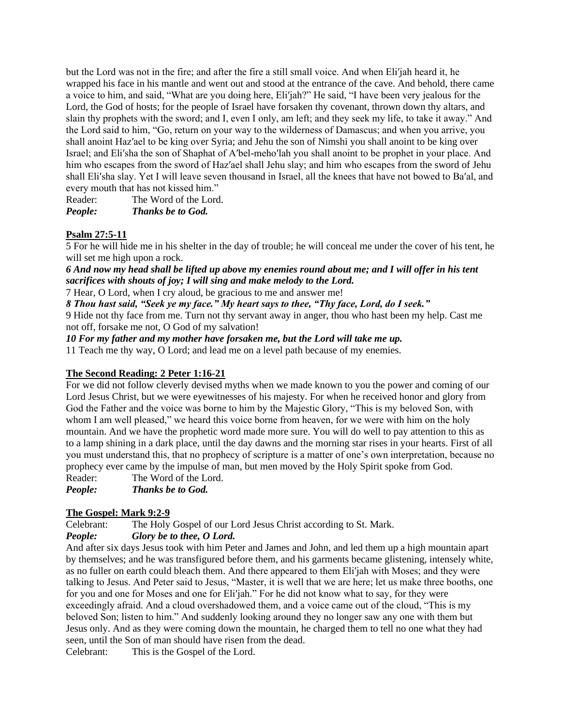but the Lord was not in the fire; and after the fire a still small voice. And when Eli′jah heard it, he wrapped his face in his mantle and went out and stood at the entrance of the cave. And behold, there came a voice to him, and said, "What are you doing here, Eli′jah?" He said, "I have been very jealous for the Lord, the God of hosts; for the people of Israel have forsaken thy covenant, thrown down thy altars, and slain thy prophets with the sword; and I, even I only, am left; and they seek my life, to take it away." And the Lord said to him, "Go, return on your way to the wilderness of Damascus; and when you arrive, you shall anoint Haz′ael to be king over Syria; and Jehu the son of Nimshi you shall anoint to be king over Israel; and Eli′sha the son of Shaphat of A′bel-meho′lah you shall anoint to be prophet in your place. And him who escapes from the sword of Haz′ael shall Jehu slay; and him who escapes from the sword of Jehu shall Eli′sha slay. Yet I will leave seven thousand in Israel, all the knees that have not bowed to Ba′al, and every mouth that has not kissed him."

Reader: The Word of the Lord. *People: Thanks be to God.*

# **Psalm 27:5-11**

5 For he will hide me in his shelter in the day of trouble; he will conceal me under the cover of his tent, he will set me high upon a rock.

*6 And now my head shall be lifted up above my enemies round about me; and I will offer in his tent sacrifices with shouts of joy; I will sing and make melody to the Lord.*

7 Hear, O Lord, when I cry aloud, be gracious to me and answer me!

*8 Thou hast said, "Seek ye my face." My heart says to thee, "Thy face, Lord, do I seek."*

9 Hide not thy face from me. Turn not thy servant away in anger, thou who hast been my help. Cast me not off, forsake me not, O God of my salvation!

*10 For my father and my mother have forsaken me, but the Lord will take me up.*

11 Teach me thy way, O Lord; and lead me on a level path because of my enemies.

# **The Second Reading: 2 Peter 1:16-21**

For we did not follow cleverly devised myths when we made known to you the power and coming of our Lord Jesus Christ, but we were eyewitnesses of his majesty. For when he received honor and glory from God the Father and the voice was borne to him by the Majestic Glory, "This is my beloved Son, with whom I am well pleased," we heard this voice borne from heaven, for we were with him on the holy mountain. And we have the prophetic word made more sure. You will do well to pay attention to this as to a lamp shining in a dark place, until the day dawns and the morning star rises in your hearts. First of all you must understand this, that no prophecy of scripture is a matter of one's own interpretation, because no prophecy ever came by the impulse of man, but men moved by the Holy Spirit spoke from God.

Reader: The Word of the Lord.

*People: Thanks be to God.*

# **The Gospel: Mark 9:2-9**

Celebrant: The Holy Gospel of our Lord Jesus Christ according to St. Mark.

# *People: Glory be to thee, O Lord.*

And after six days Jesus took with him Peter and James and John, and led them up a high mountain apart by themselves; and he was transfigured before them, and his garments became glistening, intensely white, as no fuller on earth could bleach them. And there appeared to them Eli′jah with Moses; and they were talking to Jesus. And Peter said to Jesus, "Master, it is well that we are here; let us make three booths, one for you and one for Moses and one for Eli′jah." For he did not know what to say, for they were exceedingly afraid. And a cloud overshadowed them, and a voice came out of the cloud, "This is my beloved Son; listen to him." And suddenly looking around they no longer saw any one with them but Jesus only. And as they were coming down the mountain, he charged them to tell no one what they had seen, until the Son of man should have risen from the dead.

Celebrant: This is the Gospel of the Lord.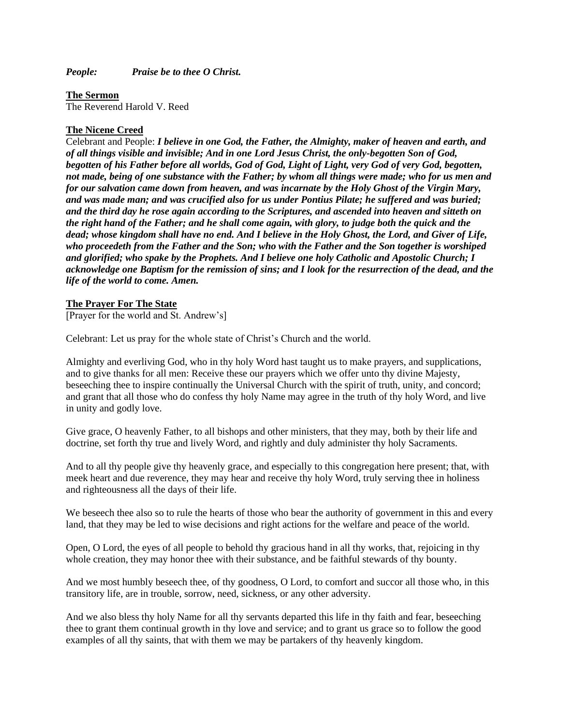*People: Praise be to thee O Christ.*

**The Sermon** 

The Reverend Harold V. Reed

# **The Nicene Creed**

Celebrant and People: *I believe in one God, the Father, the Almighty, maker of heaven and earth, and of all things visible and invisible; And in one Lord Jesus Christ, the only-begotten Son of God, begotten of his Father before all worlds, God of God, Light of Light, very God of very God, begotten, not made, being of one substance with the Father; by whom all things were made; who for us men and for our salvation came down from heaven, and was incarnate by the Holy Ghost of the Virgin Mary, and was made man; and was crucified also for us under Pontius Pilate; he suffered and was buried; and the third day he rose again according to the Scriptures, and ascended into heaven and sitteth on the right hand of the Father; and he shall come again, with glory, to judge both the quick and the dead; whose kingdom shall have no end. And I believe in the Holy Ghost, the Lord, and Giver of Life, who proceedeth from the Father and the Son; who with the Father and the Son together is worshiped and glorified; who spake by the Prophets. And I believe one holy Catholic and Apostolic Church; I acknowledge one Baptism for the remission of sins; and I look for the resurrection of the dead, and the life of the world to come. Amen.*

# **The Prayer For The State**

[Prayer for the world and St. Andrew's]

Celebrant: Let us pray for the whole state of Christ's Church and the world.

Almighty and everliving God, who in thy holy Word hast taught us to make prayers, and supplications, and to give thanks for all men: Receive these our prayers which we offer unto thy divine Majesty, beseeching thee to inspire continually the Universal Church with the spirit of truth, unity, and concord; and grant that all those who do confess thy holy Name may agree in the truth of thy holy Word, and live in unity and godly love.

Give grace, O heavenly Father, to all bishops and other ministers, that they may, both by their life and doctrine, set forth thy true and lively Word, and rightly and duly administer thy holy Sacraments.

And to all thy people give thy heavenly grace, and especially to this congregation here present; that, with meek heart and due reverence, they may hear and receive thy holy Word, truly serving thee in holiness and righteousness all the days of their life.

We beseech thee also so to rule the hearts of those who bear the authority of government in this and every land, that they may be led to wise decisions and right actions for the welfare and peace of the world.

Open, O Lord, the eyes of all people to behold thy gracious hand in all thy works, that, rejoicing in thy whole creation, they may honor thee with their substance, and be faithful stewards of thy bounty.

And we most humbly beseech thee, of thy goodness, O Lord, to comfort and succor all those who, in this transitory life, are in trouble, sorrow, need, sickness, or any other adversity.

And we also bless thy holy Name for all thy servants departed this life in thy faith and fear, beseeching thee to grant them continual growth in thy love and service; and to grant us grace so to follow the good examples of all thy saints, that with them we may be partakers of thy heavenly kingdom.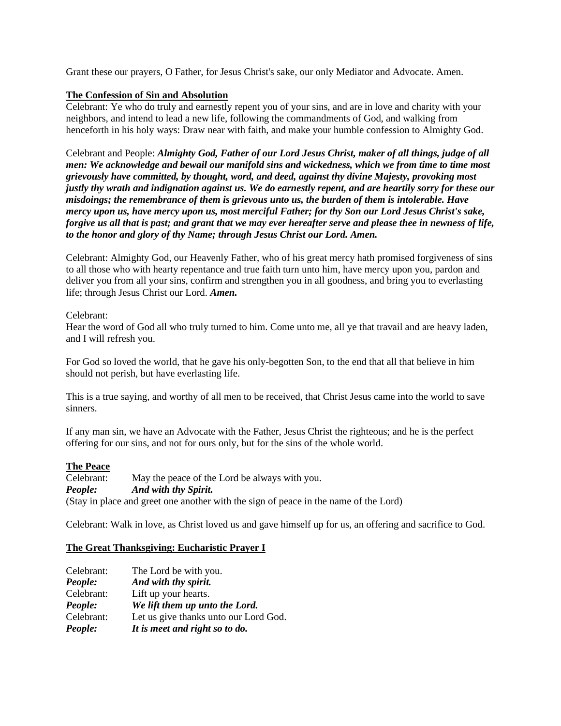Grant these our prayers, O Father, for Jesus Christ's sake, our only Mediator and Advocate. Amen.

## **The Confession of Sin and Absolution**

Celebrant: Ye who do truly and earnestly repent you of your sins, and are in love and charity with your neighbors, and intend to lead a new life, following the commandments of God, and walking from henceforth in his holy ways: Draw near with faith, and make your humble confession to Almighty God.

Celebrant and People: *Almighty God, Father of our Lord Jesus Christ, maker of all things, judge of all men: We acknowledge and bewail our manifold sins and wickedness, which we from time to time most grievously have committed, by thought, word, and deed, against thy divine Majesty, provoking most justly thy wrath and indignation against us. We do earnestly repent, and are heartily sorry for these our misdoings; the remembrance of them is grievous unto us, the burden of them is intolerable. Have mercy upon us, have mercy upon us, most merciful Father; for thy Son our Lord Jesus Christ's sake, forgive us all that is past; and grant that we may ever hereafter serve and please thee in newness of life, to the honor and glory of thy Name; through Jesus Christ our Lord. Amen.*

Celebrant: Almighty God, our Heavenly Father, who of his great mercy hath promised forgiveness of sins to all those who with hearty repentance and true faith turn unto him, have mercy upon you, pardon and deliver you from all your sins, confirm and strengthen you in all goodness, and bring you to everlasting life; through Jesus Christ our Lord. *Amen.*

### Celebrant:

Hear the word of God all who truly turned to him. Come unto me, all ye that travail and are heavy laden, and I will refresh you.

For God so loved the world, that he gave his only-begotten Son, to the end that all that believe in him should not perish, but have everlasting life.

This is a true saying, and worthy of all men to be received, that Christ Jesus came into the world to save sinners.

If any man sin, we have an Advocate with the Father, Jesus Christ the righteous; and he is the perfect offering for our sins, and not for ours only, but for the sins of the whole world.

# **The Peace**

Celebrant: May the peace of the Lord be always with you. *People: And with thy Spirit.* (Stay in place and greet one another with the sign of peace in the name of the Lord)

Celebrant: Walk in love, as Christ loved us and gave himself up for us, an offering and sacrifice to God.

#### **The Great Thanksgiving: Eucharistic Prayer I**

| People:    | It is meet and right so to do.        |
|------------|---------------------------------------|
| Celebrant: | Let us give thanks unto our Lord God. |
| People:    | We lift them up unto the Lord.        |
| Celebrant: | Lift up your hearts.                  |
| People:    | And with thy spirit.                  |
| Celebrant: | The Lord be with you.                 |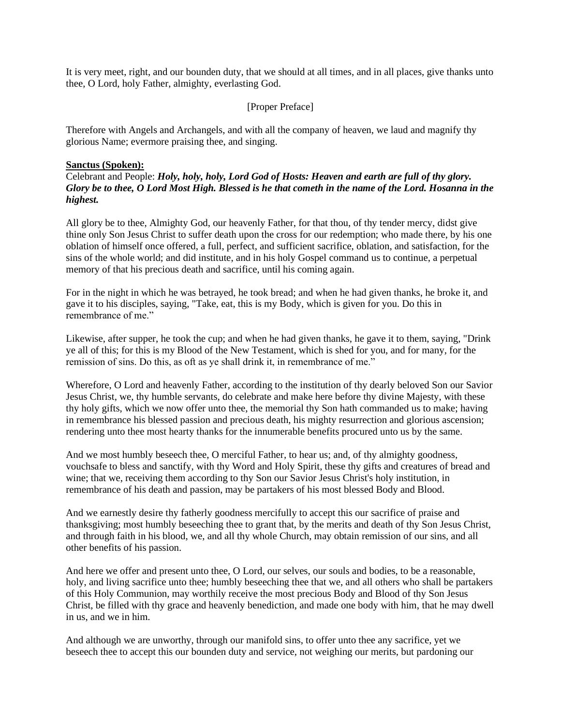It is very meet, right, and our bounden duty, that we should at all times, and in all places, give thanks unto thee, O Lord, holy Father, almighty, everlasting God.

### [Proper Preface]

Therefore with Angels and Archangels, and with all the company of heaven, we laud and magnify thy glorious Name; evermore praising thee, and singing.

#### **Sanctus (Spoken):**

Celebrant and People: *Holy, holy, holy, Lord God of Hosts: Heaven and earth are full of thy glory. Glory be to thee, O Lord Most High. Blessed is he that cometh in the name of the Lord. Hosanna in the highest.*

All glory be to thee, Almighty God, our heavenly Father, for that thou, of thy tender mercy, didst give thine only Son Jesus Christ to suffer death upon the cross for our redemption; who made there, by his one oblation of himself once offered, a full, perfect, and sufficient sacrifice, oblation, and satisfaction, for the sins of the whole world; and did institute, and in his holy Gospel command us to continue, a perpetual memory of that his precious death and sacrifice, until his coming again.

For in the night in which he was betrayed, he took bread; and when he had given thanks, he broke it, and gave it to his disciples, saying, "Take, eat, this is my Body, which is given for you. Do this in remembrance of me."

Likewise, after supper, he took the cup; and when he had given thanks, he gave it to them, saying, "Drink ye all of this; for this is my Blood of the New Testament, which is shed for you, and for many, for the remission of sins. Do this, as oft as ye shall drink it, in remembrance of me."

Wherefore, O Lord and heavenly Father, according to the institution of thy dearly beloved Son our Savior Jesus Christ, we, thy humble servants, do celebrate and make here before thy divine Majesty, with these thy holy gifts, which we now offer unto thee, the memorial thy Son hath commanded us to make; having in remembrance his blessed passion and precious death, his mighty resurrection and glorious ascension; rendering unto thee most hearty thanks for the innumerable benefits procured unto us by the same.

And we most humbly beseech thee, O merciful Father, to hear us; and, of thy almighty goodness, vouchsafe to bless and sanctify, with thy Word and Holy Spirit, these thy gifts and creatures of bread and wine; that we, receiving them according to thy Son our Savior Jesus Christ's holy institution, in remembrance of his death and passion, may be partakers of his most blessed Body and Blood.

And we earnestly desire thy fatherly goodness mercifully to accept this our sacrifice of praise and thanksgiving; most humbly beseeching thee to grant that, by the merits and death of thy Son Jesus Christ, and through faith in his blood, we, and all thy whole Church, may obtain remission of our sins, and all other benefits of his passion.

And here we offer and present unto thee, O Lord, our selves, our souls and bodies, to be a reasonable, holy, and living sacrifice unto thee; humbly beseeching thee that we, and all others who shall be partakers of this Holy Communion, may worthily receive the most precious Body and Blood of thy Son Jesus Christ, be filled with thy grace and heavenly benediction, and made one body with him, that he may dwell in us, and we in him.

And although we are unworthy, through our manifold sins, to offer unto thee any sacrifice, yet we beseech thee to accept this our bounden duty and service, not weighing our merits, but pardoning our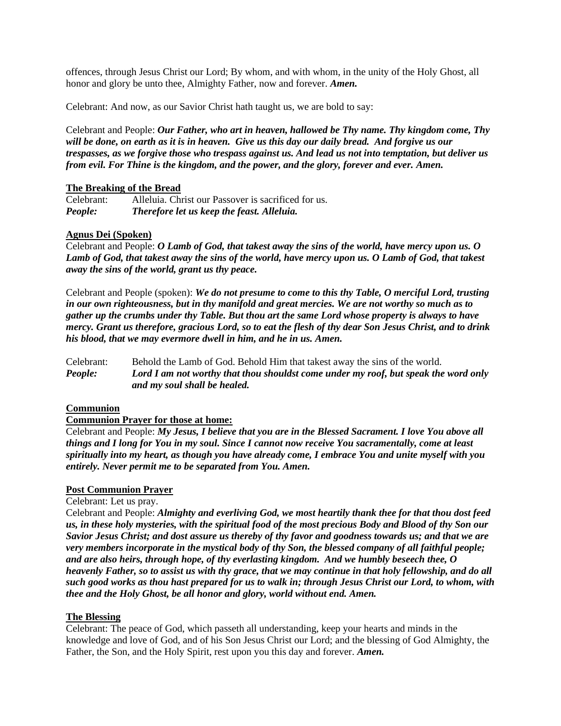offences, through Jesus Christ our Lord; By whom, and with whom, in the unity of the Holy Ghost, all honor and glory be unto thee, Almighty Father, now and forever. *Amen.*

Celebrant: And now, as our Savior Christ hath taught us, we are bold to say:

Celebrant and People: *Our Father, who art in heaven, hallowed be Thy name. Thy kingdom come, Thy will be done, on earth as it is in heaven. Give us this day our daily bread. And forgive us our trespasses, as we forgive those who trespass against us. And lead us not into temptation, but deliver us from evil. For Thine is the kingdom, and the power, and the glory, forever and ever. Amen.*

### **The Breaking of the Bread**

Celebrant: Alleluia. Christ our Passover is sacrificed for us. *People: Therefore let us keep the feast. Alleluia.*

### **Agnus Dei (Spoken)**

Celebrant and People: *O Lamb of God, that takest away the sins of the world, have mercy upon us. O Lamb of God, that takest away the sins of the world, have mercy upon us. O Lamb of God, that takest away the sins of the world, grant us thy peace.*

Celebrant and People (spoken): *We do not presume to come to this thy Table, O merciful Lord, trusting in our own righteousness, but in thy manifold and great mercies. We are not worthy so much as to gather up the crumbs under thy Table. But thou art the same Lord whose property is always to have mercy. Grant us therefore, gracious Lord, so to eat the flesh of thy dear Son Jesus Christ, and to drink his blood, that we may evermore dwell in him, and he in us. Amen.*

Celebrant: Behold the Lamb of God. Behold Him that takest away the sins of the world. *People: Lord I am not worthy that thou shouldst come under my roof, but speak the word only and my soul shall be healed.*

# **Communion**

#### **Communion Prayer for those at home:**

Celebrant and People: *My Jesus, I believe that you are in the Blessed Sacrament. I love You above all things and I long for You in my soul. Since I cannot now receive You sacramentally, come at least spiritually into my heart, as though you have already come, I embrace You and unite myself with you entirely. Never permit me to be separated from You. Amen.*

# **Post Communion Prayer**

#### Celebrant: Let us pray.

Celebrant and People: *Almighty and everliving God, we most heartily thank thee for that thou dost feed us, in these holy mysteries, with the spiritual food of the most precious Body and Blood of thy Son our Savior Jesus Christ; and dost assure us thereby of thy favor and goodness towards us; and that we are very members incorporate in the mystical body of thy Son, the blessed company of all faithful people; and are also heirs, through hope, of thy everlasting kingdom. And we humbly beseech thee, O heavenly Father, so to assist us with thy grace, that we may continue in that holy fellowship, and do all such good works as thou hast prepared for us to walk in; through Jesus Christ our Lord, to whom, with thee and the Holy Ghost, be all honor and glory, world without end. Amen.*

#### **The Blessing**

Celebrant: The peace of God, which passeth all understanding, keep your hearts and minds in the knowledge and love of God, and of his Son Jesus Christ our Lord; and the blessing of God Almighty, the Father, the Son, and the Holy Spirit, rest upon you this day and forever. *Amen.*